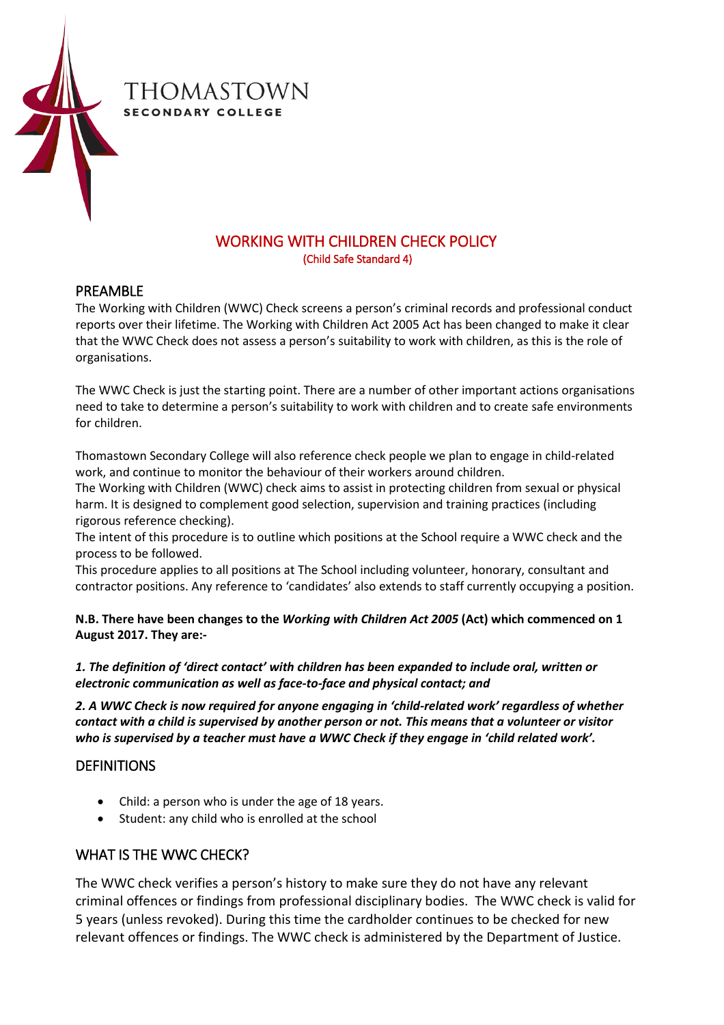

# WORKING WITH CHILDREN CHECK POLICY<br>(Child Safe Standard 4)

#### PREAMBLE

The Working with Children (WWC) Check screens a person's criminal records and professional conduct reports over their lifetime. The Working with Children Act 2005 Act has been changed to make it clear that the WWC Check does not assess a person's suitability to work with children, as this is the role of organisations.

The WWC Check is just the starting point. There are a number of other important actions organisations need to take to determine a person's suitability to work with children and to create safe environments for children.

Thomastown Secondary College will also reference check people we plan to engage in child-related work, and continue to monitor the behaviour of their workers around children.

The Working with Children (WWC) check aims to assist in protecting children from sexual or physical harm. It is designed to complement good selection, supervision and training practices (including rigorous reference checking).

The intent of this procedure is to outline which positions at the School require a WWC check and the process to be followed.

This procedure applies to all positions at The School including volunteer, honorary, consultant and contractor positions. Any reference to 'candidates' also extends to staff currently occupying a position.

**N.B. There have been changes to the** *Working with Children Act 2005* **(Act) which commenced on 1 August 2017. They are:-**

*1. The definition of 'direct contact' with children has been expanded to include oral, written or electronic communication as well as face-to-face and physical contact; and*

*2. A WWC Check is now required for anyone engaging in 'child-related work' regardless of whether contact with a child is supervised by another person or not. This means that a volunteer or visitor who is supervised by a teacher must have a WWC Check if they engage in 'child related work'.*

#### DEFINITIONS

- Child: a person who is under the age of 18 years.
- Student: any child who is enrolled at the school

# WHAT IS THE WWC CHECK?

The WWC check verifies a person's history to make sure they do not have any relevant criminal offences or findings from professional disciplinary bodies. The WWC check is valid for 5 years (unless revoked). During this time the cardholder continues to be checked for new relevant offences or findings. The WWC check is administered by the Department of Justice.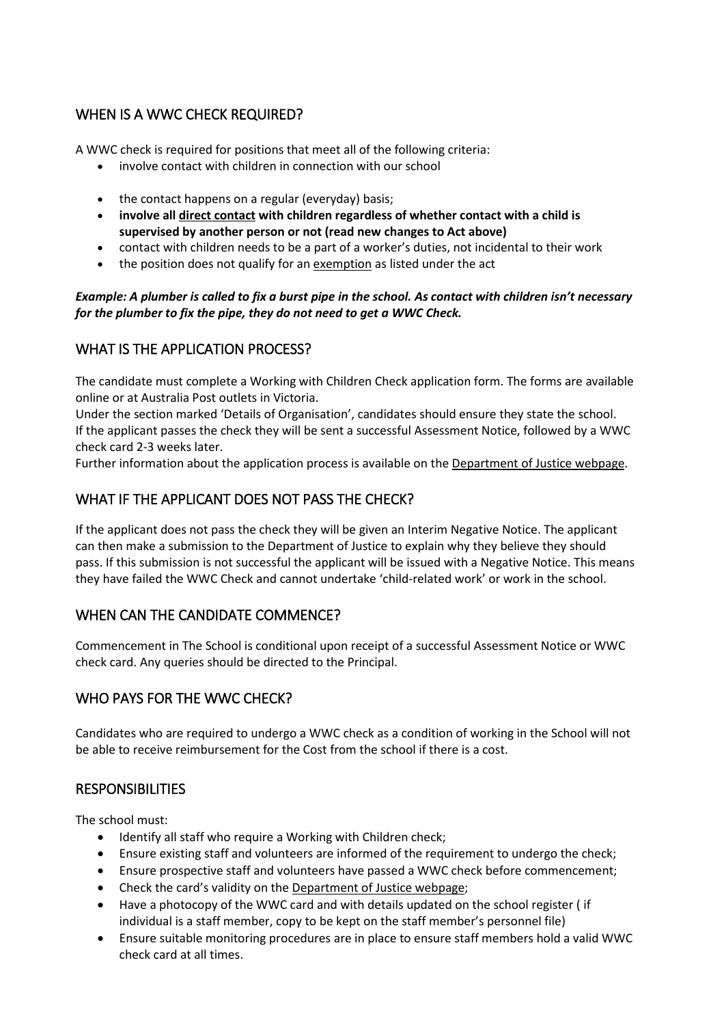# WHEN IS A WWC CHECK REQUIRED?

A WWC check is required for positions that meet all of the following criteria:

- involve contact with children in connection with our school
- the contact happens on a regular (everyday) basis;
- **involve all [direct contact](http://www.justice.vic.gov.au/wps/wcm/connect/Working+With+Children/Home/Application+Process/Who+Needs+to+Apply/) with children regardless of whether contact with a child is supervised by another person or not (read new changes to Act above)**
- contact with children needs to be a part of a worker's duties, not incidental to their work
- the position does not qualify for a[n exemption](http://www.justice.vic.gov.au/wps/wcm/connect/Working+With+Children/Home/Application+Process/Who+Needs+to+Apply/WWCC+-+Exemptions+from+Applying+for+a+Check) as listed under the act

#### *Example: A plumber is called to fix a burst pipe in the school. As contact with children isn't necessary for the plumber to fix the pipe, they do not need to get a WWC Check.*

# WHAT IS THE APPLICATION PROCESS?

The candidate must complete a Working with Children Check application form. The forms are available online or at Australia Post outlets in Victoria.

Under the section marked 'Details of Organisation', candidates should ensure they state the school. If the applicant passes the check they will be sent a successful Assessment Notice, followed by a WWC check card 2-3 weeks later.

Further information about the application process is available on th[e Department of Justice webpage.](https://online.justice.vic.gov.au/wwc/wwc-online-check)

# WHAT IF THE APPLICANT DOES NOT PASS THE CHECK?

If the applicant does not pass the check they will be given an Interim Negative Notice. The applicant can then make a submission to the Department of Justice to explain why they believe they should pass. If this submission is not successful the applicant will be issued with a Negative Notice. This means they have failed the WWC Check and cannot undertake 'child-related work' or work in the school.

# WHEN CAN THE CANDIDATE COMMENCE?

Commencement in The School is conditional upon receipt of a successful Assessment Notice or WWC check card. Any queries should be directed to the Principal.

# WHO PAYS FOR THE WWC CHECK?

Candidates who are required to undergo a WWC check as a condition of working in the School will not be able to receive reimbursement for the Cost from the school if there is a cost.

#### **RESPONSIBILITIES**

The school must:

- Identify all staff who require a Working with Children check;
- Ensure existing staff and volunteers are informed of the requirement to undergo the check;
- Ensure prospective staff and volunteers have passed a WWC check before commencement;
- Check the card's validity on the [Department of Justice webpage;](https://online.justice.vic.gov.au/wwc/wwc-online-check)
- Have a photocopy of the WWC card and with details updated on the school register ( if individual is a staff member, copy to be kept on the staff member's personnel file)
- Ensure suitable monitoring procedures are in place to ensure staff members hold a valid WWC check card at all times.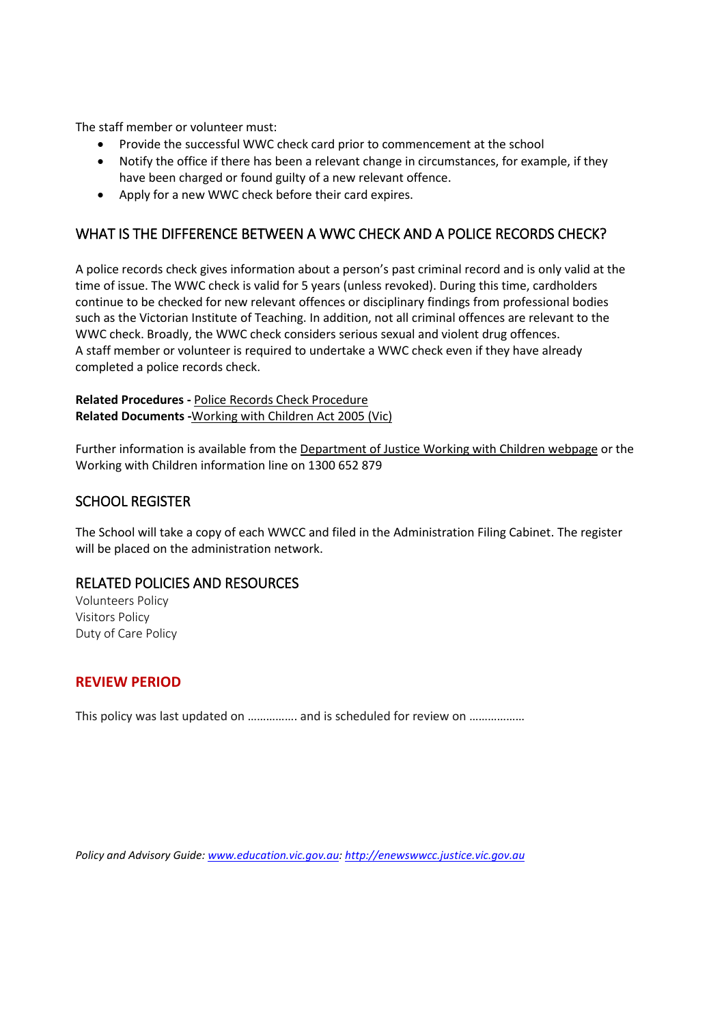The staff member or volunteer must:

- Provide the successful WWC check card prior to commencement at the school
- Notify the office if there has been a relevant change in circumstances, for example, if they have been charged or found guilty of a new relevant offence.
- Apply for a new WWC check before their card expires.

## WHAT IS THE DIFFERENCE BETWEEN A WWC CHECK AND A POLICE RECORDS CHECK?

A police records check gives information about a person's past criminal record and is only valid at the time of issue. The WWC check is valid for 5 years (unless revoked). During this time, cardholders continue to be checked for new relevant offences or disciplinary findings from professional bodies such as the Victorian Institute of Teaching. In addition, not all criminal offences are relevant to the WWC check. Broadly, the WWC check considers serious sexual and violent drug offences. A staff member or volunteer is required to undertake a WWC check even if they have already completed a police records check.

#### **Related Procedures -** [Police Records Check Procedure](http://www.adm.monash.edu.au/workplace-policy/conduct-compliance/police-records/procedures.html)  **Related Documents -**[Working with Children Act 2005 \(Vic\)](http://www.justice.vic.gov.au/wps/wcm/connect/Working+With+Children/Home/WWCC+-+Working+with+Children+Act+2005)

Further information is available from th[e Department of Justice Working with Children webpage](http://www.justice.vic.gov.au/workingwithchildren) or the Working with Children information line on 1300 652 879

### SCHOOL REGISTER

The School will take a copy of each WWCC and filed in the Administration Filing Cabinet. The register will be placed on the administration network.

#### RELATED POLICIES AND RESOURCES

Volunteers Policy Visitors Policy Duty of Care Policy

#### **REVIEW PERIOD**

This policy was last updated on ................ and is scheduled for review on ..................

*Policy and Advisory Guide: [www.education.vic.gov.au:](http://www.education.vic.gov.au/) [http://enewswwcc.justice.vic.gov.au](http://enewswwcc.justice.vic.gov.au/)*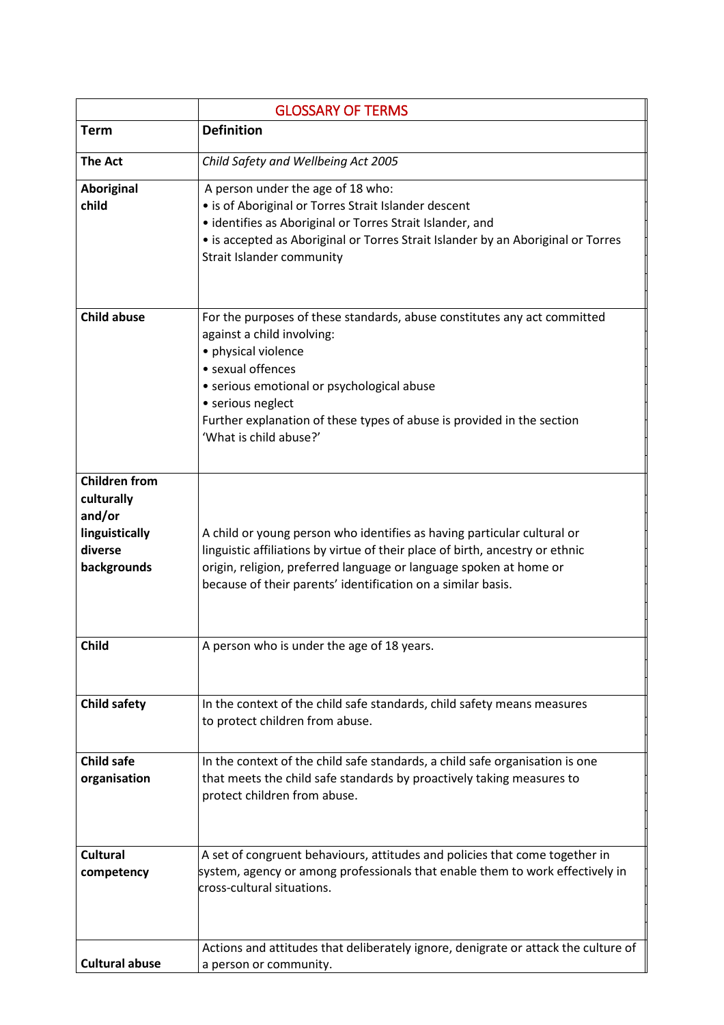|                       | <b>GLOSSARY OF TERMS</b>                                                                                      |
|-----------------------|---------------------------------------------------------------------------------------------------------------|
| <b>Term</b>           | <b>Definition</b>                                                                                             |
| <b>The Act</b>        | Child Safety and Wellbeing Act 2005                                                                           |
| Aboriginal            | A person under the age of 18 who:                                                                             |
| child                 | • is of Aboriginal or Torres Strait Islander descent                                                          |
|                       | • identifies as Aboriginal or Torres Strait Islander, and                                                     |
|                       | • is accepted as Aboriginal or Torres Strait Islander by an Aboriginal or Torres<br>Strait Islander community |
|                       |                                                                                                               |
|                       |                                                                                                               |
| <b>Child abuse</b>    | For the purposes of these standards, abuse constitutes any act committed                                      |
|                       | against a child involving:                                                                                    |
|                       | · physical violence                                                                                           |
|                       | • sexual offences                                                                                             |
|                       | • serious emotional or psychological abuse                                                                    |
|                       | • serious neglect<br>Further explanation of these types of abuse is provided in the section                   |
|                       | 'What is child abuse?'                                                                                        |
|                       |                                                                                                               |
| <b>Children from</b>  |                                                                                                               |
| culturally            |                                                                                                               |
| and/or                |                                                                                                               |
| linguistically        | A child or young person who identifies as having particular cultural or                                       |
| diverse               | linguistic affiliations by virtue of their place of birth, ancestry or ethnic                                 |
| backgrounds           | origin, religion, preferred language or language spoken at home or                                            |
|                       | because of their parents' identification on a similar basis.                                                  |
|                       |                                                                                                               |
| <b>Child</b>          | A person who is under the age of 18 years.                                                                    |
|                       |                                                                                                               |
|                       |                                                                                                               |
| <b>Child safety</b>   | In the context of the child safe standards, child safety means measures                                       |
|                       | to protect children from abuse.                                                                               |
|                       |                                                                                                               |
| <b>Child safe</b>     | In the context of the child safe standards, a child safe organisation is one                                  |
| organisation          | that meets the child safe standards by proactively taking measures to                                         |
|                       | protect children from abuse.                                                                                  |
|                       |                                                                                                               |
|                       |                                                                                                               |
| <b>Cultural</b>       | A set of congruent behaviours, attitudes and policies that come together in                                   |
| competency            | system, agency or among professionals that enable them to work effectively in<br>cross-cultural situations.   |
|                       |                                                                                                               |
|                       |                                                                                                               |
|                       |                                                                                                               |
| <b>Cultural abuse</b> | Actions and attitudes that deliberately ignore, denigrate or attack the culture of<br>a person or community.  |
|                       |                                                                                                               |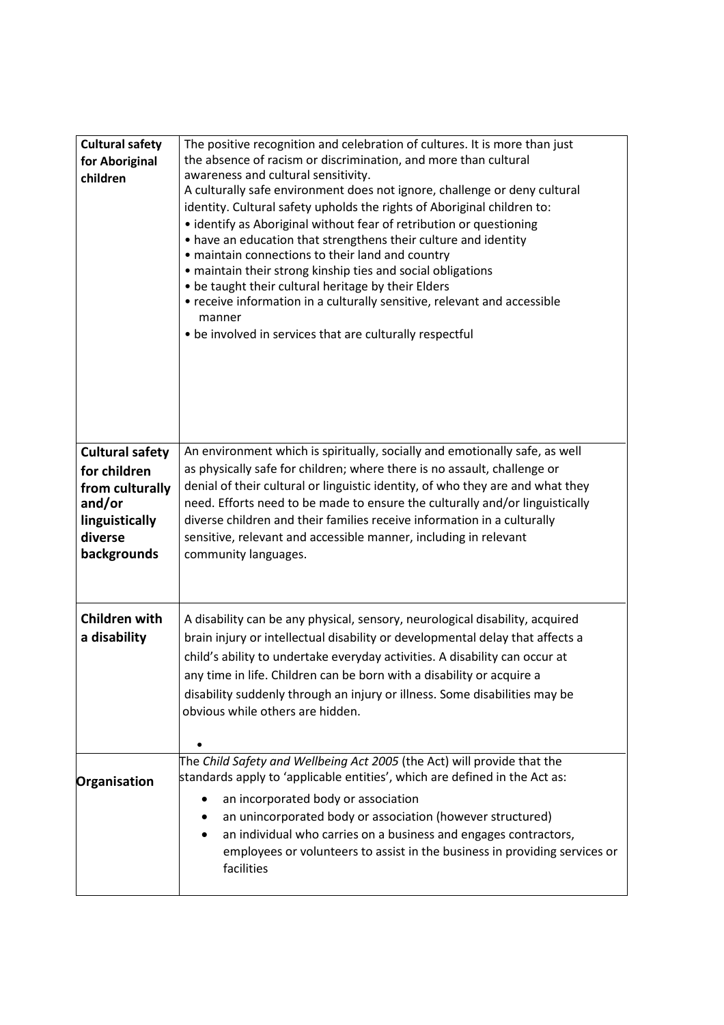| <b>Cultural safety</b><br>for Aboriginal<br>children                                                            | The positive recognition and celebration of cultures. It is more than just<br>the absence of racism or discrimination, and more than cultural<br>awareness and cultural sensitivity.<br>A culturally safe environment does not ignore, challenge or deny cultural<br>identity. Cultural safety upholds the rights of Aboriginal children to:<br>• identify as Aboriginal without fear of retribution or questioning<br>• have an education that strengthens their culture and identity<br>• maintain connections to their land and country<br>• maintain their strong kinship ties and social obligations<br>. be taught their cultural heritage by their Elders<br>• receive information in a culturally sensitive, relevant and accessible<br>manner<br>• be involved in services that are culturally respectful |
|-----------------------------------------------------------------------------------------------------------------|--------------------------------------------------------------------------------------------------------------------------------------------------------------------------------------------------------------------------------------------------------------------------------------------------------------------------------------------------------------------------------------------------------------------------------------------------------------------------------------------------------------------------------------------------------------------------------------------------------------------------------------------------------------------------------------------------------------------------------------------------------------------------------------------------------------------|
| <b>Cultural safety</b><br>for children<br>from culturally<br>and/or<br>linguistically<br>diverse<br>backgrounds | An environment which is spiritually, socially and emotionally safe, as well<br>as physically safe for children; where there is no assault, challenge or<br>denial of their cultural or linguistic identity, of who they are and what they<br>need. Efforts need to be made to ensure the culturally and/or linguistically<br>diverse children and their families receive information in a culturally<br>sensitive, relevant and accessible manner, including in relevant<br>community languages.                                                                                                                                                                                                                                                                                                                   |
| <b>Children with</b><br>a disability                                                                            | A disability can be any physical, sensory, neurological disability, acquired<br>brain injury or intellectual disability or developmental delay that affects a<br>child's ability to undertake everyday activities. A disability can occur at<br>any time in life. Children can be born with a disability or acquire a<br>disability suddenly through an injury or illness. Some disabilities may be<br>obvious while others are hidden.<br>$\bullet$                                                                                                                                                                                                                                                                                                                                                               |
| Organisation                                                                                                    | The Child Safety and Wellbeing Act 2005 (the Act) will provide that the<br>standards apply to 'applicable entities', which are defined in the Act as:<br>an incorporated body or association<br>an unincorporated body or association (however structured)<br>an individual who carries on a business and engages contractors,<br>employees or volunteers to assist in the business in providing services or<br>facilities                                                                                                                                                                                                                                                                                                                                                                                         |